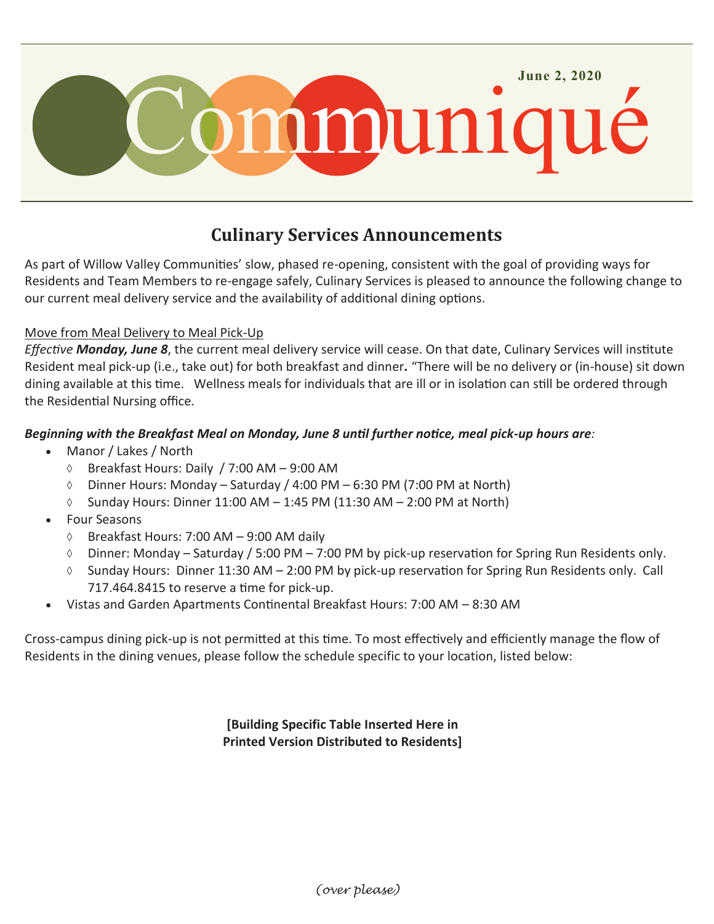

# **Culinary Services Announcements**

As part of Willow Valley Communities' slow, phased re-opening, consistent with the goal of providing ways for Residents and Team Members to re-engage safely, Culinary Services is pleased to announce the following change to our current meal delivery service and the availability of additional dining options.

#### Move from Meal Delivery to Meal Pick-Up

*Effective Monday, June 8*, the current meal delivery service will cease. On that date, Culinary Services will institute Resident meal pick-up (i.e., take out) for both breakfast and dinner*.* "There will be no delivery or (in-house) sit down dining available at this time. Wellness meals for individuals that are ill or in isolation can still be ordered through the Residential Nursing office.

## *Beginning with the Breakfast Meal on Monday, June 8 until further notice, meal pick-up hours are:*

- Manor / Lakes / North
	- $\circ$  Breakfast Hours: Daily / 7:00 AM 9:00 AM
	- $\circ$  Dinner Hours: Monday Saturday / 4:00 PM 6:30 PM (7:00 PM at North)
	- $\Diamond$  Sunday Hours: Dinner 11:00 AM 1:45 PM (11:30 AM 2:00 PM at North)
- Four Seasons
	- $\Diamond$  Breakfast Hours: 7:00 AM 9:00 AM daily
	- $\lozenge$  Dinner: Monday Saturday / 5:00 PM 7:00 PM by pick-up reservation for Spring Run Residents only.
	- $\lozenge$  Sunday Hours: Dinner 11:30 AM 2:00 PM by pick-up reservation for Spring Run Residents only. Call 717.464.8415 to reserve a time for pick-up.
- Vistas and Garden Apartments Continental Breakfast Hours: 7:00 AM 8:30 AM

Cross-campus dining pick-up is not permitted at this time. To most effectively and efficiently manage the flow of Residents in the dining venues, please follow the schedule specific to your location, listed below:

> **[Building Specific Table Inserted Here in Printed Version Distributed to Residents]**